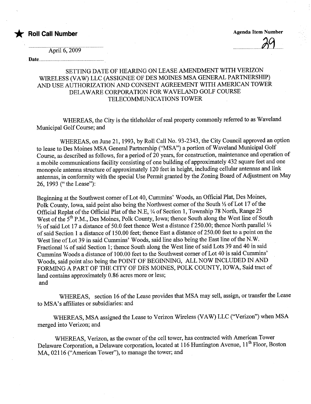\* Roll Call Number Agenda Item Number Agenda Item Number

 $\overline{v_1}$ 

April 6, 2009

### Date..........................

# SETTING DATE OF HEARING ON LEASE AMENDMENT WITH VERIZON WIRELESS (VAW) LLC (ASSIGNEE OF DES MOINES MSA GENERAL PARTNERSHIP) AND USE AUTHORIZATION AND CONSENT AGREEMENT WITH AMERICAN TOWER DELAWARE CORPORATION FOR WAVELAND GOLF COURSE TELECOMMUNICATIONS TOWER

WHEREAS, the City is the titleholder of real property commonly referred to as Waveland Municipal. Golf Course; and

WHEREAS, on June 21, 1993, by Roll Call No. 93-2343, the City Council approved an option to lease to Des Moines MSA General Partnership ("MSA") a portion of Waveland Muncipal Golf Course, as described as follows, for a period of 20 years, for construction, maintenance and operation of a mobile communications facility consisting of one building of approximately 432 square feet and one monopole antenna structure of approximately 120 feet in height, including cellular antennas and link antennas, in conformity with the special Use Permit granted by the Zoning Board of Adjustment on May 26, 1993 (" the Lease"):

Beginning at the Southwest corner of Lot 40, Cummins' Woods, an Official Plat, Des Moines, Polk County, Iowa, said point also being the Northwest corner of the South  $\frac{1}{2}$  of Lot 17 of the Official Replat of the Official Plat of the N.E,  $\frac{1}{4}$  of Section 1, Township 78 North, Range 25 West of the 5<sup>th</sup> P.M., Des Moines, Polk County, Iowa; thence South along the West line of South  $\frac{1}{2}$  of said Lot 17 a distance of 50.0 feet thence West a distance f 250.00; thence North parallel  $\frac{1}{4}$ of said Section 1 a distance of 150.00 feet; thence East a distance of 250.00 feet to a point on the West line of Lot 39 in said Cummins' Woods, said line also being the East line of the N.W. Fractional 1/4 of said Section 1; thence South along the West line of said Lots 39 and 40 in said Cummins Woods a distance of 100.00 feet to the Southwest corner of Lot 40 is said Cummins' Woods, said point also being the POINT OF BEGINING, ALL NOW INCLUDED IN AND FORMING A PART OF THE CITY OF DES MOINES, POLK COUNTY, IOWA, Said tract of land contains approximately 0.86 acres more or less; and

WHEREAS, section 16 of the Lease provides that MSA may sell, assign, or transfer the Lease to MSA's affiliates or subsidiaries: and

WHEREAS, MSA assigned the Lease to Verizon Wireless (VAW) LLC ("Verizon") when MSA merged into Verizon; and

WHREAS, Verizon, as the owner of the cell tower, has contracted with American Tower Delaware Corporation, a Delaware corporation, located at 116 Huntington Avenue, 11<sup>th</sup> Floor, Boston MA, 02116 ("American Tower"), to manage the tower; and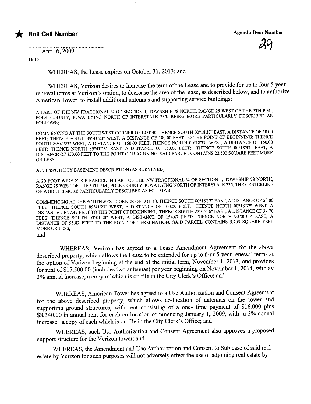# \* Roll Call Number Agenda Item Number Agenda Item Number

 $\overline{\mathcal{L}}$ .

April 6, 2009

Date..... ............................................................................

WHEREAS, the Lease expires on October 31,2013; and

WHEREAS, Verizon desires to increase the term of the Lease and to provide for up to four 5 year renewal terms at Verizon's option, to decrease the area of the lease, as described below, and to authorize American Tower to install additional antennas and supporting service buildings:

A PART OF THE NW FRACTIONAL 1/4 OF SECTION 1, TOWNSHIP 78 NORTH, RANGE 25 WEST OF THE 5TH P.M., POLK COUNTY, IOWA LYING NORTH OF INTERSTATE 235, BEING MORE PARTICULARLY DESCRIBED AS FOLLOWS;

COMMENCING AT THE SOUTHWEST CORNER OF LOT 40, THENCE SOUTH 00°18'37" EAST, A DISTANCE OF 50.00 FEET; THENCE SOUTH 89°41'23" WEST, A DISTANCE OF 100.00 FEET TO THE POINT OF BEGINNING; THENCE SOUTH 89°41'23" WEST, A DISTANCE OF 150.00 FEET; THENCE NORTH 00°18'37" WEST, A DISTANCE OF 150.00 FEET; THENCE NORTH 89°41'23" EAST, A DISTANCE OF 150.00 FEET; THENCE SOUTH 00°18'37" EAST, A DISTANCE OF 150.00 FEET TO THE POINT OF BEGINNING. SAID PARCEL CONTAINS 22,500 SQUARE FEET MORE OR LESS.

ACCESS/UTlLITY EASEMENT DESCRIPTION (AS SURVEYED)

A 20 FOOT WIDE STRIP PARCEL IN PART OF THE NW FRACTIONAL 1/4 OF SECTION 1, TOWNSHIP 78 NORTH, RAGE 25 WEST OF THE 5TH P.M., POLK COUNTY, IOWA LYING NORTH OF INTERSTATE 235, THE CENTERLINE OF WHICH IS MORE PARTICULARLY DESCRIBED AS FOLLOWS;

COMMENCING AT THE SOUTHWEST CORNER OF LOT 40, THENCE SOUTH 00°18'37" EAST, A DISTANCE OF 50.00 FEET; THENCE SOUTH 89°41'23" WEST, A DISTANCE OF 100.00 FEET; THENCE NORTH 00°18'37" WEST, A DISTANCE OF 27.42 FEET TO THE POINT OF BEGINNING; THENCE SOUTH 22°05'36" EAST, A DISTANCE OF 34.70 FEET; THENCE SOUTH 03°01'20" WEST, A DISTANCE OF 154.67 FEET; THENCE NORTH 90°00'00" EAST, A DISTANCE OF 95.82 FEET TO THE POINT OF TERMINATION. SAID PARCEL CONTAINS 5,703 SQUARE FEET MORE OR LESS;

and

WHEREAS, Verizon has agreed to a Lease Amendment Agreement for the above described property, which allows the Lease to be extended for up to four 5-year renewal terms at the option of Verizon beginning at the end of the initial term, November 1, 2013, and provides for rent of\$15,500.00 (includes two antennas) per year beginning on November 1,2014, with ay 3% anual increase, a copy of which is on file in the City Clerk's Office; and

WHEREAS, American Tower has agreed to a Use Authorization and Consent Agreement for the above described property, which allows co-location of antennas on the tower and supporting ground structures, with rent consisting of a one- time payment of \$16,000 plus \$8,340.00 in annual rent for each co-location commencing January 1, 2009, with a 3% annual increase, a copy of each which is on file in the City Clerk's Office; and

WHEREAS, such Use Authorization and Consent Agreement also approves a proposed support structue for the Verizon tower; and

WHEREAS, the Amendment and Use Authorization and Consent to Sublease of said real estate by Verizon for such puroses will not adversely affect the use of adjoining real estate by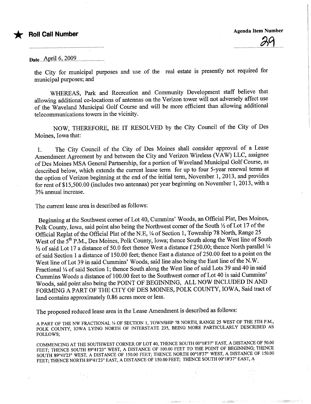## **Roll Call Number**

..............................S~l......

ان میکن<del>د و در واقع م</del>رکز روز با دارد.

الداملة هوالان

# Date...April.6, 2009.

the City for municipal purposes and use of the real estate is presently not required for municipal puroses; and

WHEREAS, Park and Recreation and Communty Development staff believe that allowing additional co-locations of antennas on the Verizon tower will not adversely affect use of the Waveland Municipal Golf Course and will be more efficient than allowing additional telecommuncations towers in the vicinity.

NOW, THEREFORE, BE IT RESOLVED by the City Council of the City of Des Moines, Iowa that:

1. The City Council of the City of Des Moines shall consider approval of a Lease Amendment Agreement by and between the City and Verizon Wireless (VAW) LLC, assignee of Des Moines MSA General Parnership, for a portion of Waveland Municipal Golf Course, as described below, which extends the curent lease term for up to four 5-year renewal terms at the option of Verizon beginning at the end of the initial term, November 1, 2013, and provides for rent of \$15,500.00 (includes two antennas) per year beginning on November 1,2013, with a 3% anual increase.

The current lease area is described as follows:

Beginning at the Southwest comer of Lot 40, Cummins' Woods, an Official Plat, Des Moines, Polk County, Iowa, said point also being the Northwest corner of the South  $\frac{1}{2}$  of Lot 17 of the Official Replat of the Official Plat of the N.E, 1/4 of Section 1, Township 78 North, Range 25 West of the 5<sup>th</sup> P.M., Des Moines, Polk County, Iowa; thence South along the West line of South  $\frac{1}{2}$  of said Lot 17 a distance of 50.0 feet thence West a distance f 250.00; thence North parallel  $\frac{1}{4}$ of said Section 1 a distance of 150.00 feet; thence East a distance of 250.00 feet to a point on the West line of Lot 39 in said Cummins' Woods, said line also being the East line of the N.W. Fractional 1/4 of said Section 1; thence South along the West line of said Lots 39 and 40 in said Cummins Woods a distance of 100.00 feet to the Southwest corner of Lot 40 is said Cummins' Woods, said point also being the POINT OF BEGINING, ALL NOW INCLUDED IN AND FORMING A PART OF THE CITY OF DES MOINES, POLK COUNTY, IOWA, Said tract of land contains approximately 0.86 acres more or less.

The proposed reduced lease area in the Lease Amendment is described as follows:

A PART OF THE NW FRACTIONAL 1/4 OF SECTION 1, TOWNSHIP 78 NORTH, RANGE 25 WEST OF THE 5TH P.M., POLK COUNTY, IOWA LYING NORTH OF INTERSTATE 235, BEING MORE PARTICULARLY DESCRIBED AS FOLLOWS;

COMMNCING AT THE SOUTHWEST CORNER OF LOT 40, THENCE SOUTH 00°18'37" EAST, A DISTANCE OF 50.00 FEET; THENCE SOUTH 89°41'23" WEST, A DISTANCE OF 100.00 FEET TO THE POINT OF BEGINNING; THENCE SOUTH 89°41'23" WEST, A DISTANCE OF 150.00 FEET; THENCE NORTH 00°18'37" WEST, A DISTANCE OF 150.00 FEET; THENCE NORTH 89°41'23" EAST, A DISTANCE OF 150.00 FEET; THENCE SOUTH 00°18'37" EAST, A